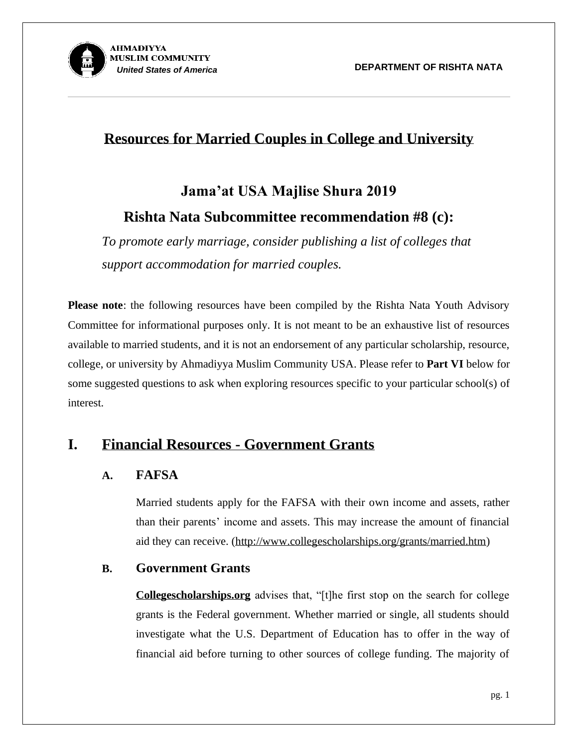

### **Resources for Married Couples in College and University**

# **Jama'at USA Majlise Shura 2019 Rishta Nata Subcommittee recommendation #8 (c):**

*To promote early marriage, consider publishing a list of colleges that support accommodation for married couples.*

**Please note**: the following resources have been compiled by the Rishta Nata Youth Advisory Committee for informational purposes only. It is not meant to be an exhaustive list of resources available to married students, and it is not an endorsement of any particular scholarship, resource, college, or university by Ahmadiyya Muslim Community USA. Please refer to **Part VI** below for some suggested questions to ask when exploring resources specific to your particular school(s) of interest.

### **I. Financial Resources - Government Grants**

#### **A. FAFSA**

Married students apply for the FAFSA with their own income and assets, rather than their parents' income and assets. This may increase the amount of financial aid they can receive. [\(http://www.collegescholarships.org/grants/married.htm\)](http://www.collegescholarships.org/grants/married.htm)

#### **B. Government Grants**

**Collegescholarships.org** advises that, "[t]he first stop on the search for college grants is the Federal government. Whether married or single, all students should investigate what the U.S. Department of Education has to offer in the way of financial aid before turning to other sources of college funding. The majority of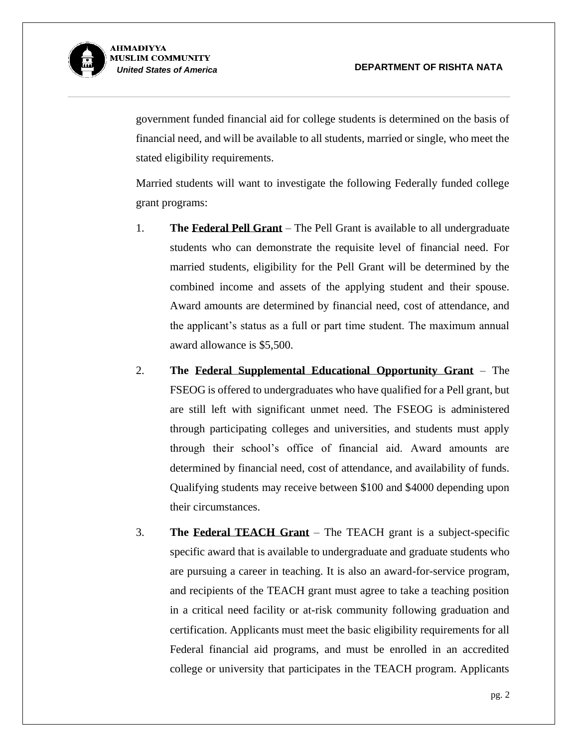

> government funded financial aid for college students is determined on the basis of financial need, and will be available to all students, married or single, who meet the stated eligibility requirements.

> Married students will want to investigate the following Federally funded college grant programs:

- 1. **The [Federal Pell Grant](http://studentaid.ed.gov/types/grants-scholarships/pell)** The Pell Grant is available to all undergraduate students who can demonstrate the requisite level of financial need. For married students, eligibility for the Pell Grant will be determined by the combined income and assets of the applying student and their spouse. Award amounts are determined by financial need, cost of attendance, and the applicant's status as a full or part time student. The maximum annual award allowance is \$5,500.
- 2. **The [Federal Supplemental Educational Opportunity Grant](http://studentaid.ed.gov/types/grants-scholarships/FSEOG)** The FSEOG is offered to undergraduates who have qualified for a Pell grant, but are still left with significant unmet need. The FSEOG is administered through participating colleges and universities, and students must apply through their school's office of financial aid. Award amounts are determined by financial need, cost of attendance, and availability of funds. Qualifying students may receive between \$100 and \$4000 depending upon their circumstances.
- 3. **The [Federal TEACH Grant](http://studentaid.ed.gov/types/grants-scholarships/teach)** The TEACH grant is a subject-specific specific award that is available to undergraduate and graduate students who are pursuing a career in teaching. It is also an award-for-service program, and recipients of the TEACH grant must agree to take a teaching position in a critical need facility or at-risk community following graduation and certification. Applicants must meet the basic eligibility requirements for all Federal financial aid programs, and must be enrolled in an accredited college or university that participates in the TEACH program. Applicants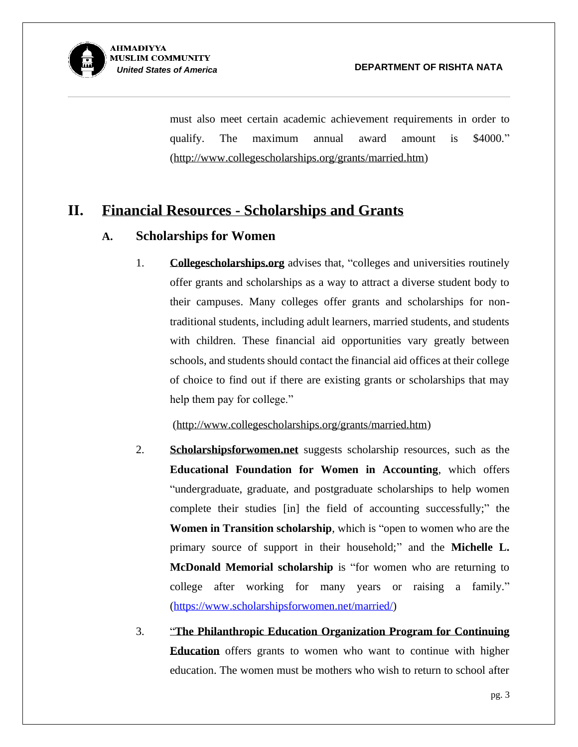

> must also meet certain academic achievement requirements in order to qualify. The maximum annual award amount is \$4000." [\(http://www.collegescholarships.org/grants/married.htm\)](http://www.collegescholarships.org/grants/married.htm)

### **II. Financial Resources - Scholarships and Grants**

#### **A. Scholarships for Women**

1. **Collegescholarships.org** advises that, "colleges and universities routinely offer grants and scholarships as a way to attract a diverse student body to their campuses. Many colleges offer grants and scholarships for nontraditional students, including adult learners, married students, and students with children. These financial aid opportunities vary greatly between schools, and students should contact the financial aid offices at their college of choice to find out if there are existing grants or scholarships that may help them pay for college."

[\(http://www.collegescholarships.org/grants/married.htm\)](http://www.collegescholarships.org/grants/married.htm)

- 2. **Scholarshipsforwomen.net** suggests scholarship resources, such as the **[Educational Foundation for Women in Accounting](http://www.efwa.org/)**, which offers "undergraduate, graduate, and postgraduate scholarships to help women complete their studies [in] the field of accounting successfully;" the **Women in Transition scholarship**, which is "open to women who are the primary source of support in their household;" and the **Michelle L. McDonald Memorial scholarship** is "for women who are returning to college after working for many years or raising a family." [\(https://www.scholarshipsforwomen.net/married/\)](https://www.scholarshipsforwomen.net/married/)
- 3. "**The [Philanthropic Education Organization Program for Continuing](http://www.peointernational.org/peo-projectsphilanthropies)  [Education](http://www.peointernational.org/peo-projectsphilanthropies)** offers grants to women who want to continue with higher education. The women must be mothers who wish to return to school after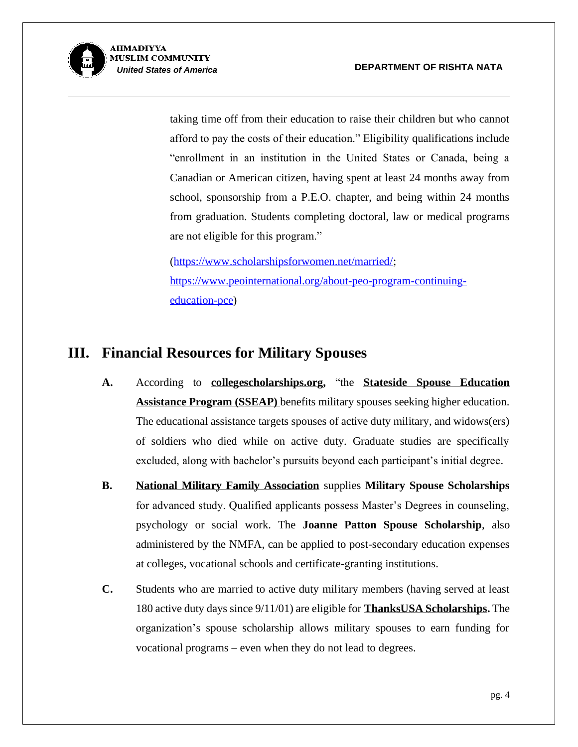

> taking time off from their education to raise their children but who cannot afford to pay the costs of their education." Eligibility qualifications include "enrollment in an institution in the United States or Canada, being a Canadian or American citizen, having spent at least 24 months away from school, sponsorship from a P.E.O. chapter, and being within 24 months from graduation. Students completing doctoral, law or medical programs are not eligible for this program."

[\(https://www.scholarshipsforwomen.net/married/;](https://www.scholarshipsforwomen.net/married/) [https://www.peointernational.org/about-peo-program-continuing](https://www.peointernational.org/about-peo-program-continuing-education-pce)[education-pce\)](https://www.peointernational.org/about-peo-program-continuing-education-pce)

### **III. Financial Resources for Military Spouses**

- **A.** According to **collegescholarships.org,** "the **[Stateside Spouse Education](https://g1arng.army.pentagon.mil/Families/SSEAP/Files/Stateside%20Spouse%20Education%20Assistance%20Program%20%28SSEAP%29_Benefit%20Page_FINAL.pdf)  [Assistance Program](https://g1arng.army.pentagon.mil/Families/SSEAP/Files/Stateside%20Spouse%20Education%20Assistance%20Program%20%28SSEAP%29_Benefit%20Page_FINAL.pdf) (SSEAP)** benefits military spouses seeking higher education. The educational assistance targets spouses of active duty military, and widows(ers) of soldiers who died while on active duty. Graduate studies are specifically excluded, along with bachelor's pursuits beyond each participant's initial degree.
- **B. [National Military Family Association](http://www.militaryfamily.org/our-programs/military-spouse-scholarships/)** supplies **Military Spouse Scholarships** for advanced study. Qualified applicants possess Master's Degrees in counseling, psychology or social work. The **Joanne Patton Spouse Scholarship**, also administered by the NMFA, can be applied to post-secondary education expenses at colleges, vocational schools and certificate-granting institutions.
- **C.** Students who are married to active duty military members (having served at least 180 active duty days since 9/11/01) are eligible for **[ThanksUSA Scholarships.](http://www.thanksusa.org/scholarships.html)** The organization's spouse scholarship allows military spouses to earn funding for vocational programs – even when they do not lead to degrees.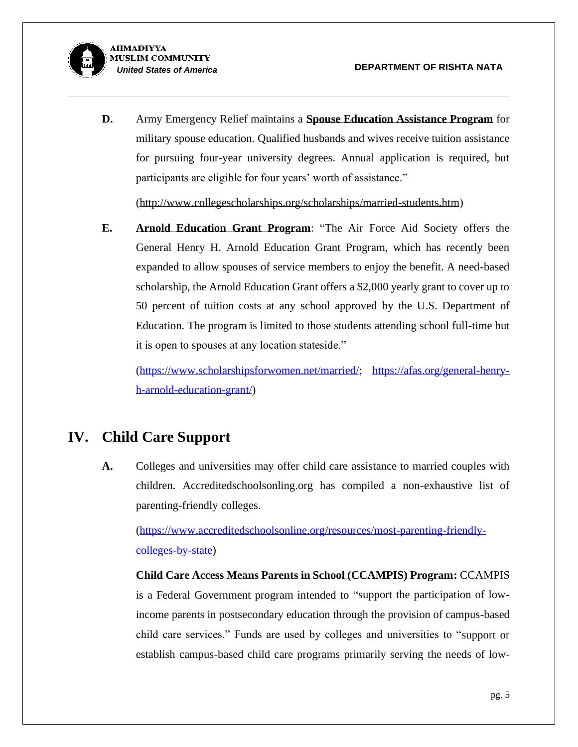

**D.** Army Emergency Relief maintains a **[Spouse Education Assistance Program](http://www.aerhq.org/dnn563/Scholarships/Spouses.aspx)** for military spouse education. Qualified husbands and wives receive tuition assistance for pursuing four-year university degrees. Annual application is required, but participants are eligible for four years' worth of assistance."

[\(http://www.collegescholarships.org/scholarships/married-students.htm\)](http://www.collegescholarships.org/scholarships/married-students.htm)

**E. [Arnold Education Grant Program](https://afas.org/general-henry-h-arnold-education-grant/)**: "The Air Force Aid Society offers the General Henry H. Arnold Education Grant Program, which has recently been expanded to allow spouses of service members to enjoy the benefit. A need-based scholarship, the Arnold Education Grant offers a \$2,000 yearly grant to cover up to 50 percent of tuition costs at any school approved by the U.S. Department of Education. The program is limited to those students attending school full-time but it is open to spouses at any location stateside."

[\(https://www.scholarshipsforwomen.net/married/;](https://www.scholarshipsforwomen.net/married/) [https://afas.org/general-henry](https://afas.org/general-henry-h-arnold-education-grant/)[h-arnold-education-grant/\)](https://afas.org/general-henry-h-arnold-education-grant/)

### **IV. Child Care Support**

**A.** Colleges and universities may offer child care assistance to married couples with children. Accreditedschoolsonling.org has compiled a non-exhaustive list of parenting-friendly colleges.

[\(https://www.accreditedschoolsonline.org/resources/most-parenting-friendly](https://www.accreditedschoolsonline.org/resources/most-parenting-friendly-colleges-by-state)[colleges-by-state\)](https://www.accreditedschoolsonline.org/resources/most-parenting-friendly-colleges-by-state)

**Child Care Access Means Parents in School (CCAMPIS) Program:** CCAMPIS is a Federal Government program intended to "support the participation of lowincome parents in postsecondary education through the provision of campus-based child care services." Funds are used by colleges and universities to "support or establish campus-based child care programs primarily serving the needs of low-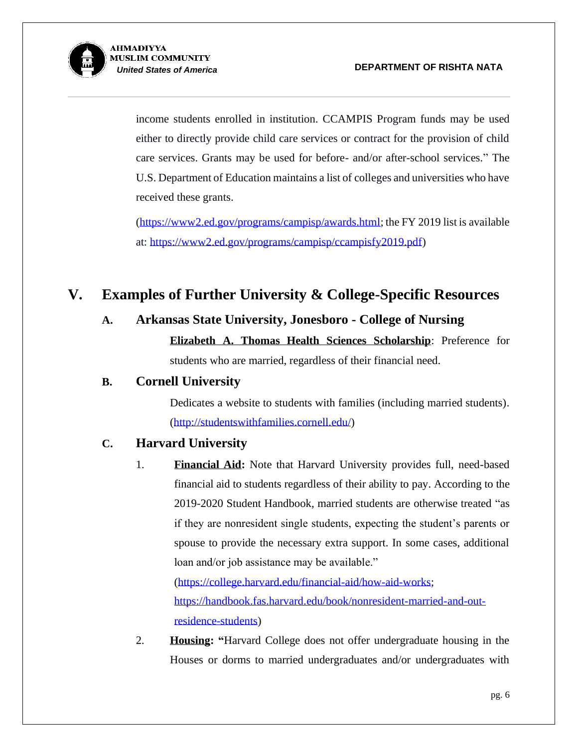

income students enrolled in institution. CCAMPIS Program funds may be used either to directly provide child care services or contract for the provision of child care services. Grants may be used for before- and/or after-school services." The U.S. Department of Education maintains a list of colleges and universities who have received these grants.

[\(https://www2.ed.gov/programs/campisp/awards.html;](https://www2.ed.gov/programs/campisp/awards.html) the FY 2019 list is available at: [https://www2.ed.gov/programs/campisp/ccampisfy2019.pdf\)](https://www2.ed.gov/programs/campisp/ccampisfy2019.pdf)

### **V. Examples of Further University & College-Specific Resources**

#### **A. Arkansas State University, Jonesboro - College of Nursing**

**Elizabeth A. Thomas Health Sciences Scholarship**: Preference for students who are married, regardless of their financial need.

#### **B. Cornell University**

Dedicates a website to students with families (including married students). [\(http://studentswithfamilies.cornell.edu/\)](http://studentswithfamilies.cornell.edu/)

#### **C. Harvard University**

1. **Financial Aid:** Note that Harvard University provides full, need-based financial aid to students regardless of their ability to pay. According to the 2019-2020 Student Handbook, married students are otherwise treated "as if they are nonresident single students, expecting the student's parents or spouse to provide the necessary extra support. In some cases, additional loan and/or job assistance may be available."

[\(https://college.harvard.edu/financial-aid/how-aid-works;](https://college.harvard.edu/financial-aid/how-aid-works) [https://handbook.fas.harvard.edu/book/nonresident-married-and-out](https://handbook.fas.harvard.edu/book/nonresident-married-and-out-residence-students)[residence-students\)](https://handbook.fas.harvard.edu/book/nonresident-married-and-out-residence-students)

2. **Housing: "**Harvard College does not offer undergraduate housing in the Houses or dorms to married undergraduates and/or undergraduates with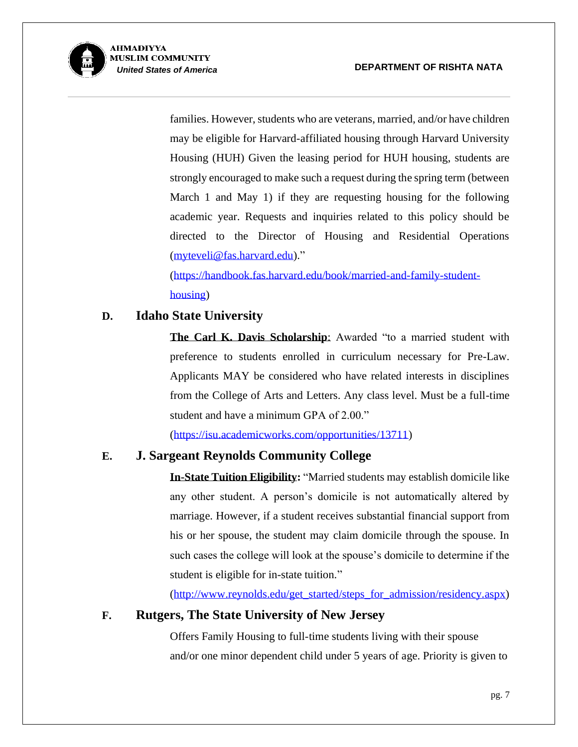

> families. However, students who are veterans, married, and/or have children may be eligible for Harvard-affiliated housing through Harvard University Housing (HUH) Given the leasing period for HUH housing, students are strongly encouraged to make such a request during the spring term (between March 1 and May 1) if they are requesting housing for the following academic year. Requests and inquiries related to this policy should be directed to the Director of Housing and Residential Operations [\(myteveli@fas.harvard.edu\)](mailto:myteveli@fas.harvard.edu)."

[\(https://handbook.fas.harvard.edu/book/married-and-family-student](https://handbook.fas.harvard.edu/book/married-and-family-student-housing)[housing\)](https://handbook.fas.harvard.edu/book/married-and-family-student-housing)

#### **D. Idaho State University**

**The Carl K. Davis Scholarship**: Awarded "to a married student with preference to students enrolled in curriculum necessary for Pre-Law. Applicants MAY be considered who have related interests in disciplines from the College of Arts and Letters. Any class level. Must be a full-time student and have a minimum GPA of 2.00."

[\(https://isu.academicworks.com/opportunities/13711\)](https://isu.academicworks.com/opportunities/13711)

#### **E. [J. Sargeant Reynolds Community College](http://www.reynolds.edu/get_started/steps_for_admission/residency.aspx)**

**In-State Tuition Eligibility:** "Married students may establish domicile like any other student. A person's domicile is not automatically altered by marriage. However, if a student receives substantial financial support from his or her spouse, the student may claim domicile through the spouse. In such cases the college will look at the spouse's domicile to determine if the student is eligible for in-state tuition."

[\(http://www.reynolds.edu/get\\_started/steps\\_for\\_admission/residency.aspx\)](http://www.reynolds.edu/get_started/steps_for_admission/residency.aspx)

#### **F. Rutgers, The State University of New Jersey**

Offers Family Housing to full-time students living with their spouse and/or one minor dependent child under 5 years of age. Priority is given to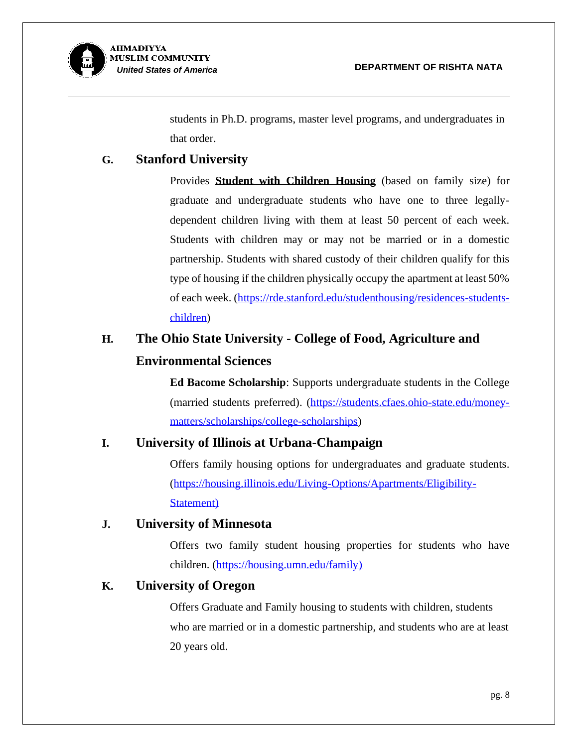

students in Ph.D. programs, master level programs, and undergraduates in that order.

#### **G. Stanford University**

Provides **[Student with Children Housing](https://rde.stanford.edu/studenthousing/residences-students-children)** (based on family size) for graduate and undergraduate students who have one to three legallydependent children living with them at least 50 percent of each week. Students with children may or may not be married or in a domestic partnership. Students with shared custody of their children qualify for this type of housing if the children physically occupy the apartment at least 50% of each week. [\(https://rde.stanford.edu/studenthousing/residences-students](https://rde.stanford.edu/studenthousing/residences-students-children)[children\)](https://rde.stanford.edu/studenthousing/residences-students-children)

# **H. The Ohio State University - College of Food, Agriculture and Environmental Sciences**

**Ed Bacome Scholarship**: Supports undergraduate students in the College (married students preferred). [\(https://students.cfaes.ohio-state.edu/money](https://students.cfaes.ohio-state.edu/money-matters/scholarships/college-scholarships)[matters/scholarships/college-scholarships\)](https://students.cfaes.ohio-state.edu/money-matters/scholarships/college-scholarships)

#### **I. University of Illinois at Urbana-Champaign**

Offers family housing options for undergraduates and graduate students. [\(https://housing.illinois.edu/Living-Options/Apartments/Eligibility-](https://housing.illinois.edu/Living-Options/Apartments/Eligibility-Statement)[Statement\)](https://housing.illinois.edu/Living-Options/Apartments/Eligibility-Statement)

#### **J. University of Minnesota**

Offers two family student housing properties for students who have children. [\(https://housing.umn.edu/family\)](https://housing.umn.edu/family)

#### **K. University of Oregon**

Offers Graduate and Family housing to students with children, students who are married or in a domestic partnership, and students who are at least 20 years old.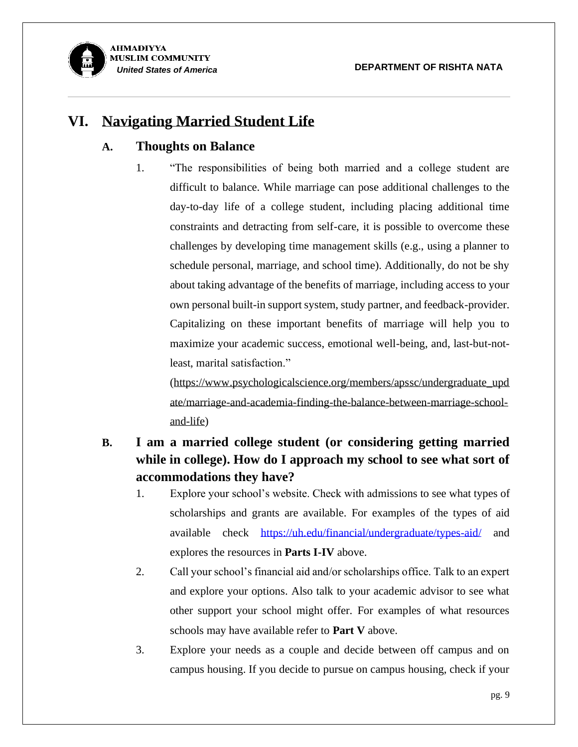

### **VI. Navigating Married Student Life**

#### **A. Thoughts on Balance**

1. "The responsibilities of being both married and a college student are difficult to balance. While marriage can pose additional challenges to the day-to-day life of a college student, including placing additional time constraints and detracting from self-care, it is possible to overcome these challenges by developing time management skills (e.g., using a planner to schedule personal, marriage, and school time). Additionally, do not be shy about taking advantage of the benefits of marriage, including access to your own personal built-in support system, study partner, and feedback-provider. Capitalizing on these important benefits of marriage will help you to maximize your academic success, emotional well-being, and, last-but-notleast, marital satisfaction."

[\(https://www.psychologicalscience.org/members/apssc/undergraduate\\_upd](https://www.psychologicalscience.org/members/apssc/undergraduate_update/marriage-and-academia-finding-the-balance-between-marriage-school-and-life) [ate/marriage-and-academia-finding-the-balance-between-marriage-school](https://www.psychologicalscience.org/members/apssc/undergraduate_update/marriage-and-academia-finding-the-balance-between-marriage-school-and-life)[and-life\)](https://www.psychologicalscience.org/members/apssc/undergraduate_update/marriage-and-academia-finding-the-balance-between-marriage-school-and-life)

### **B. I am a married college student (or considering getting married while in college). How do I approach my school to see what sort of accommodations they have?**

- 1. Explore your school's website. Check with admissions to see what types of scholarships and grants are available. For examples of the types of aid available check <https://uh.edu/financial/undergraduate/types-aid/> and explores the resources in **Parts I-IV** above.
- 2. Call your school's financial aid and/or scholarships office. Talk to an expert and explore your options. Also talk to your academic advisor to see what other support your school might offer. For examples of what resources schools may have available refer to **Part V** above.
- 3. Explore your needs as a couple and decide between off campus and on campus housing. If you decide to pursue on campus housing, check if your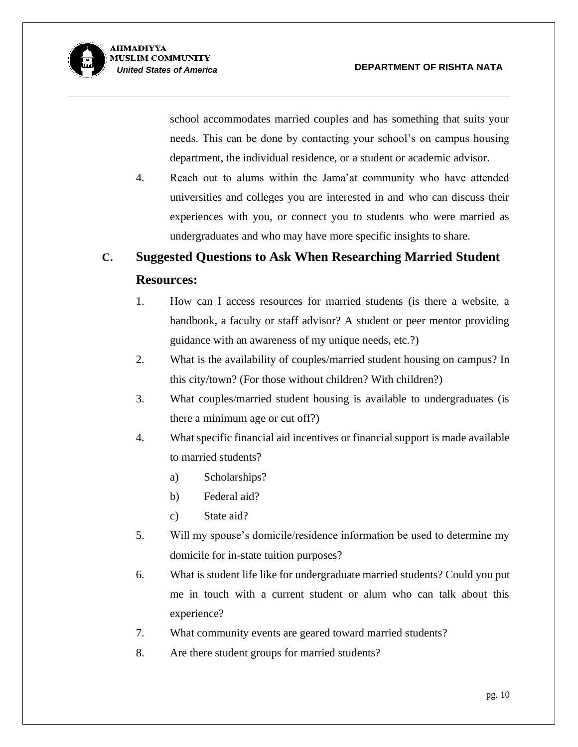

school accommodates married couples and has something that suits your needs. This can be done by contacting your school's on campus housing department, the individual residence, or a student or academic advisor.

4. Reach out to alums within the Jama'at community who have attended universities and colleges you are interested in and who can discuss their experiences with you, or connect you to students who were married as undergraduates and who may have more specific insights to share.

# **C. Suggested Questions to Ask When Researching Married Student Resources:**

- 1. How can I access resources for married students (is there a website, a handbook, a faculty or staff advisor? A student or peer mentor providing guidance with an awareness of my unique needs, etc.?)
- 2. What is the availability of couples/married student housing on campus? In this city/town? (For those without children? With children?)
- 3. What couples/married student housing is available to undergraduates (is there a minimum age or cut off?)
- 4. What specific financial aid incentives or financial support is made available to married students?
	- a) Scholarships?
	- b) Federal aid?
	- c) State aid?
- 5. Will my spouse's domicile/residence information be used to determine my domicile for in-state tuition purposes?
- 6. What is student life like for undergraduate married students? Could you put me in touch with a current student or alum who can talk about this experience?
- 7. What community events are geared toward married students?
- 8. Are there student groups for married students?